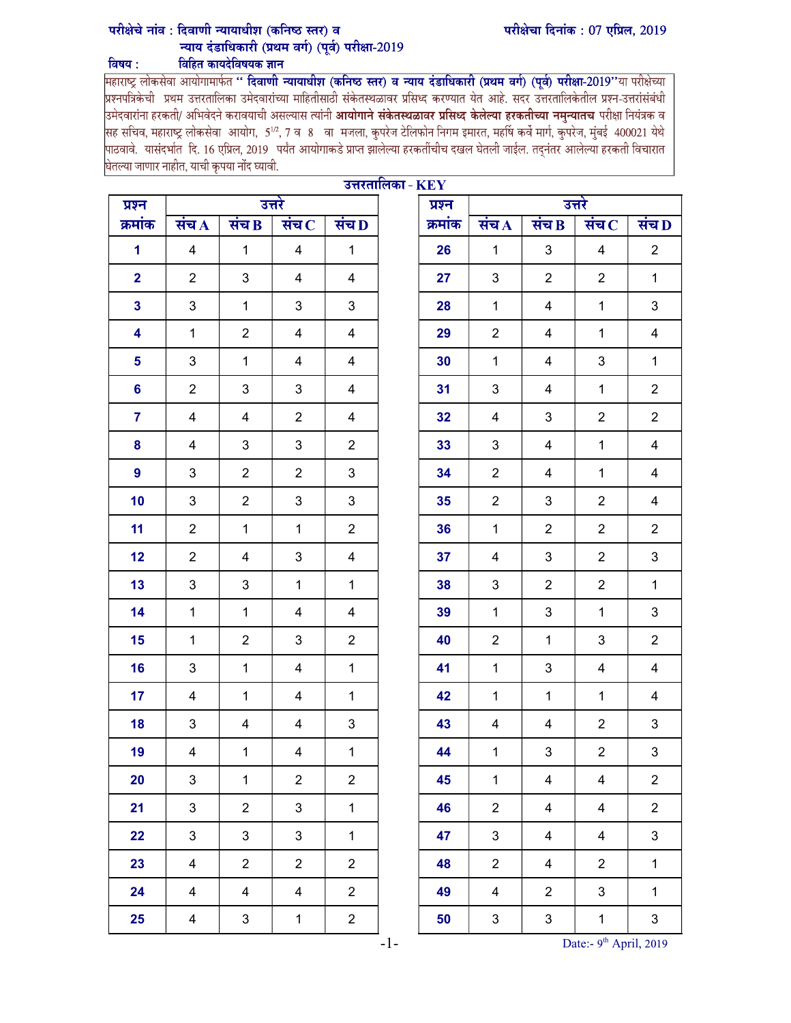## परीक्षेचा दिनांक: 07 एप्रिल, 2019

## परीक्षेचे नांव : दिवाणी न्यायाधीश (कनिष्ठ स्तर) व न्याय दंडाधिकारी (प्रथम वर्ग) (पूर्व) परीक्षा-2019 विषय: विहित कायदेविषयक ज्ञान

<mark>महाराष्ट्र लोकसेवा आयोगामार्फत '' <mark>दिवाणी न्यायाधीश (कनिष्ठ स्तर) व न्याय दंडाधिकारी (प्रथम वर्ग) (पूर्व) परीक्षा-2019''या परीक्षेच्या<br>प्रश्नपत्रिकेची प्रथम उत्तरतालिका उमेदवारांच्या माहितीसाठी संकेतस्थळावर प्रसिध्द करण</mark></mark> उमेदवारांना हरकती/ अभिवेदने करावयाची असल्यास त्यांनी **आयोगाने संकेतस्थळावर प्रसिध्द केलेल्या हरकतीच्या नमुन्यातच** परीक्षा नियंत्रक व .<br>सह सचिव, महाराष्ट्र लोकसेवा आयोग, 5½, 7 व 8 वा मजला, कुपरेज टेलिफोन निगम इमारत, महर्षि कर्वे मार्ग, कुपरेज, मुंबई 400021 येथे पाठवावे. यासंदर्भात दि. 16 एप्रिल, 2019 पर्यंत आयोगाकडे प्राप्त झालेल्या हरकतींचीच दखल घेतली जाईल. तद्नंतर आलेल्या हरकती विचारात घेतल्या जाणार नाहीत, याची कृपया नोंद घ्यावी.

| उत्तरतालिका - $KEY$<br>उत्तरे<br>उत्तरे<br>प्रश्न |                                                                  |                |                |                |  |         |                                                       |                |                |                           |  |
|---------------------------------------------------|------------------------------------------------------------------|----------------|----------------|----------------|--|---------|-------------------------------------------------------|----------------|----------------|---------------------------|--|
| प्रश्न<br>क्रमांक                                 | संच $\bf{B}$<br>संच $\, {\bf c}$<br>संच $\bf D$<br>संच $\Lambda$ |                |                |                |  | क्रमांक | संच D<br>संच $\bf{B}$<br>संच $\bf C$<br>संच $\Lambda$ |                |                |                           |  |
|                                                   |                                                                  |                |                |                |  |         |                                                       |                |                |                           |  |
| 1                                                 | $\overline{4}$                                                   | $\mathbf{1}$   | $\overline{4}$ | $\mathbf{1}$   |  | 26      | $\mathbf{1}$                                          | $\mathfrak{B}$ | $\overline{4}$ | $\overline{2}$            |  |
| $\overline{2}$                                    | $\overline{2}$                                                   | 3              | 4              | 4              |  | 27      | 3                                                     | $\overline{2}$ | $\overline{2}$ | $\mathbf{1}$              |  |
| $\mathbf{3}$                                      | 3                                                                | $\mathbf{1}$   | 3              | 3              |  | 28      | $\mathbf{1}$                                          | 4              | $\mathbf{1}$   | 3                         |  |
| 4                                                 | $\mathbf{1}$                                                     | $\overline{2}$ | 4              | 4              |  | 29      | $\overline{2}$                                        | 4              | $\mathbf{1}$   | 4                         |  |
| 5                                                 | 3                                                                | $\mathbf{1}$   | 4              | 4              |  | 30      | $\mathbf{1}$                                          | 4              | 3              | $\mathbf 1$               |  |
| 6                                                 | $\overline{2}$                                                   | $\mathbf{3}$   | 3              | 4              |  | 31      | 3                                                     | $\overline{4}$ | $\mathbf{1}$   | $\overline{2}$            |  |
| $\overline{7}$                                    | 4                                                                | 4              | $\overline{2}$ | 4              |  | 32      | 4                                                     | 3              | $\overline{2}$ | $\overline{2}$            |  |
| 8                                                 | 4                                                                | 3              | 3              | $\overline{2}$ |  | 33      | 3                                                     | 4              | $\mathbf{1}$   | 4                         |  |
| $\overline{9}$                                    | 3                                                                | $\overline{2}$ | $\overline{2}$ | 3              |  | 34      | $\overline{2}$                                        | 4              | $\mathbf{1}$   | 4                         |  |
| 10                                                | 3                                                                | $\overline{2}$ | 3              | 3              |  | 35      | $\overline{2}$                                        | 3              | $\overline{2}$ | 4                         |  |
| 11                                                | $\overline{2}$                                                   | $\mathbf{1}$   | $\mathbf{1}$   | $\overline{2}$ |  | 36      | $\mathbf{1}$                                          | $\overline{2}$ | $\overline{2}$ | $\overline{c}$            |  |
| 12                                                | $\overline{2}$                                                   | 4              | 3              | 4              |  | 37      | 4                                                     | 3              | $\overline{2}$ | 3                         |  |
| 13                                                | 3                                                                | 3              | $\mathbf{1}$   | $\mathbf{1}$   |  | 38      | 3                                                     | $\overline{2}$ | $\overline{2}$ | $\mathbf 1$               |  |
| 14                                                | $\mathbf{1}$                                                     | $\mathbf{1}$   | 4              | 4              |  | 39      | $\mathbf{1}$                                          | 3              | $\mathbf{1}$   | 3                         |  |
| 15                                                | $\mathbf{1}$                                                     | $\overline{2}$ | 3              | $\overline{2}$ |  | 40      | $\overline{2}$                                        | $\mathbf{1}$   | 3              | $\overline{2}$            |  |
| 16                                                | 3                                                                | $\mathbf{1}$   | $\overline{4}$ | $\mathbf{1}$   |  | 41      | $\mathbf{1}$                                          | 3              | $\overline{4}$ | 4                         |  |
| 17                                                | 4                                                                | $\mathbf{1}$   | 4              | $\mathbf{1}$   |  | 42      | $\mathbf{1}$                                          | $\mathbf{1}$   | $\mathbf{1}$   | 4                         |  |
| 18                                                | 3                                                                | 4              | 4              | 3              |  | 43      | 4                                                     | 4              | $\overline{2}$ | 3                         |  |
| 19                                                | 4                                                                | $\mathbf{1}$   | $\overline{4}$ | $\mathbf 1$    |  | 44      | $\mathbf{1}$                                          | 3              | $\overline{2}$ | 3                         |  |
| 20                                                | 3                                                                | $\mathbf{1}$   | $\overline{2}$ | $\overline{2}$ |  | 45      | $\mathbf{1}$                                          | $\overline{4}$ | $\overline{4}$ | $\overline{2}$            |  |
| 21                                                | $\mathbf{3}$                                                     | $\overline{2}$ | $\mathbf{3}$   | $\mathbf{1}$   |  | 46      | $\overline{2}$                                        | $\overline{4}$ | $\overline{4}$ | $\overline{2}$            |  |
| 22                                                | 3                                                                | $\mathbf{3}$   | $\mathbf{3}$   | $\mathbf{1}$   |  | 47      | $\mathbf{3}$                                          | $\overline{4}$ | $\overline{4}$ | $\mathfrak{S}$            |  |
| 23                                                | $\overline{4}$                                                   | $\overline{2}$ | $\overline{2}$ | $\overline{2}$ |  | 48      | $\overline{2}$                                        | $\overline{4}$ | $\overline{2}$ | $\mathbf{1}$              |  |
| 24                                                | $\overline{4}$                                                   | $\overline{4}$ | $\overline{4}$ | $\overline{2}$ |  | 49      | $\overline{4}$                                        | $\overline{2}$ | $\mathbf{3}$   | $\mathbf{1}$              |  |
| 25                                                | 4                                                                | $\mathbf{3}$   | $\mathbf 1$    | $\overline{2}$ |  | 50      | $\mathbf{3}$                                          | $\mathfrak{S}$ | $\mathbf{1}$   | $\ensuremath{\mathsf{3}}$ |  |

-1- Date:- 9<sup>th</sup> April, 2019